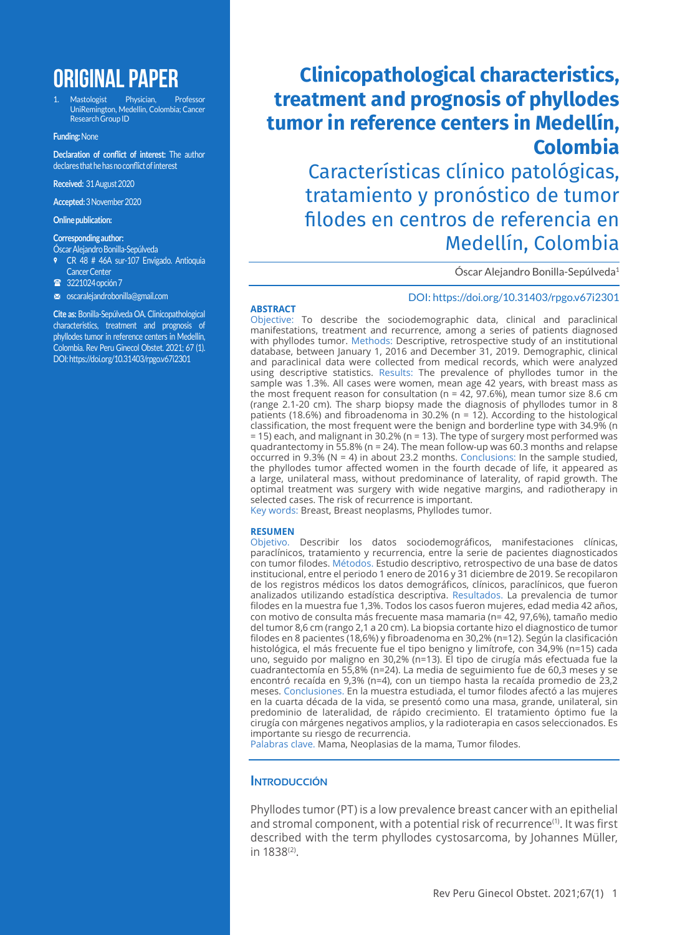# **ORIGINAL PAPER**

1. Mastologist Physician, Professor UniRemington, Medellin, Colombia; Cancer Research Group ID

#### **Funding:** None

**Declaration of conflict of interest:** The author declares that he has no conflict of interest

**Received:** 31 August 2020

**Accepted:** 3 November 2020

**Online publication:**

#### **Corresponding author:**

- Óscar Alejandro Bonilla-Sepúlveda , CR 48 # 46A sur-107 Envigado. Antioquia
- Cancer Center
- 3221024 opción 7
- m oscaralejandrobonilla@gmail.com

**Cite as:** Bonilla-Sepúlveda OA. Clinicopathological characteristics, treatment and prognosis of phyllodes tumor in reference centers in Medellín, Colombia. Rev Peru Ginecol Obstet. 2021; 67 (1). DOI: https://doi.org/10.31403/rpgo.v67i2301

# **Clinicopathological characteristics, treatment and prognosis of phyllodes tumor in reference centers in Medellín, Colombia**

Características clínico patológicas, tratamiento y pronóstico de tumor filodes en centros de referencia en Medellín, Colombia

Óscar Alejandro Bonilla-Sepúlveda1

#### DOI: https://doi.org/10.31403/rpgo.v67i2301

#### **ABSTRACT**

Objective: To describe the sociodemographic data, clinical and paraclinical manifestations, treatment and recurrence, among a series of patients diagnosed with phyllodes tumor. Methods: Descriptive, retrospective study of an institutional database, between January 1, 2016 and December 31, 2019. Demographic, clinical and paraclinical data were collected from medical records, which were analyzed using descriptive statistics. Results: The prevalence of phyllodes tumor in the sample was 1.3%. All cases were women, mean age 42 years, with breast mass as the most frequent reason for consultation (n = 42, 97.6%), mean tumor size 8.6 cm (range 2.1-20 cm). The sharp biopsy made the diagnosis of phyllodes tumor in 8 patients (18.6%) and fibroadenoma in 30.2% ( $n = 12$ ). According to the histological classification, the most frequent were the benign and borderline type with 34.9% (n = 15) each, and malignant in 30.2% (n = 13). The type of surgery most performed was quadrantectomy in 55.8% (n = 24). The mean follow-up was 60.3 months and relapse occurred in 9.3% ( $N = 4$ ) in about 23.2 months. Conclusions: In the sample studied, the phyllodes tumor affected women in the fourth decade of life, it appeared as a large, unilateral mass, without predominance of laterality, of rapid growth. The optimal treatment was surgery with wide negative margins, and radiotherapy in selected cases. The risk of recurrence is important.

Key words: Breast, Breast neoplasms, Phyllodes tumor.

#### **RESUMEN**

Objetivo. Describir los datos sociodemográficos, manifestaciones clínicas, paraclínicos, tratamiento y recurrencia, entre la serie de pacientes diagnosticados con tumor filodes. Métodos. Estudio descriptivo, retrospectivo de una base de datos institucional, entre el periodo 1 enero de 2016 y 31 diciembre de 2019. Se recopilaron de los registros médicos los datos demográficos, clínicos, paraclínicos, que fueron analizados utilizando estadística descriptiva. Resultados. La prevalencia de tumor filodes en la muestra fue 1,3%. Todos los casos fueron mujeres, edad media 42 años, con motivo de consulta más frecuente masa mamaria (n= 42, 97,6%), tamaño medio del tumor 8,6 cm (rango 2,1 a 20 cm). La biopsia cortante hizo el diagnostico de tumor filodes en 8 pacientes (18,6%) y fibroadenoma en 30,2% (n=12). Según la clasificación histológica, el más frecuente fue el tipo benigno y limítrofe, con 34,9% (n=15) cada uno, seguido por maligno en 30,2% (n=13). El tipo de cirugía más efectuada fue la cuadrantectomía en 55,8% (n=24). La media de seguimiento fue de 60,3 meses y se encontró recaída en 9,3% (n=4), con un tiempo hasta la recaída promedio de 23,2 meses. Conclusiones. En la muestra estudiada, el tumor filodes afectó a las mujeres en la cuarta década de la vida, se presentó como una masa, grande, unilateral, sin predominio de lateralidad, de rápido crecimiento. El tratamiento óptimo fue la cirugía con márgenes negativos amplios, y la radioterapia en casos seleccionados. Es importante su riesgo de recurrencia.

Palabras clave. Mama, Neoplasias de la mama, Tumor filodes.

### **INTRODUCCIÓN**

Phyllodes tumor (PT) is a low prevalence breast cancer with an epithelial and stromal component, with a potential risk of recurrence<sup>(1)</sup>. It was first described with the term phyllodes cystosarcoma, by Johannes Müller, in 1838(2).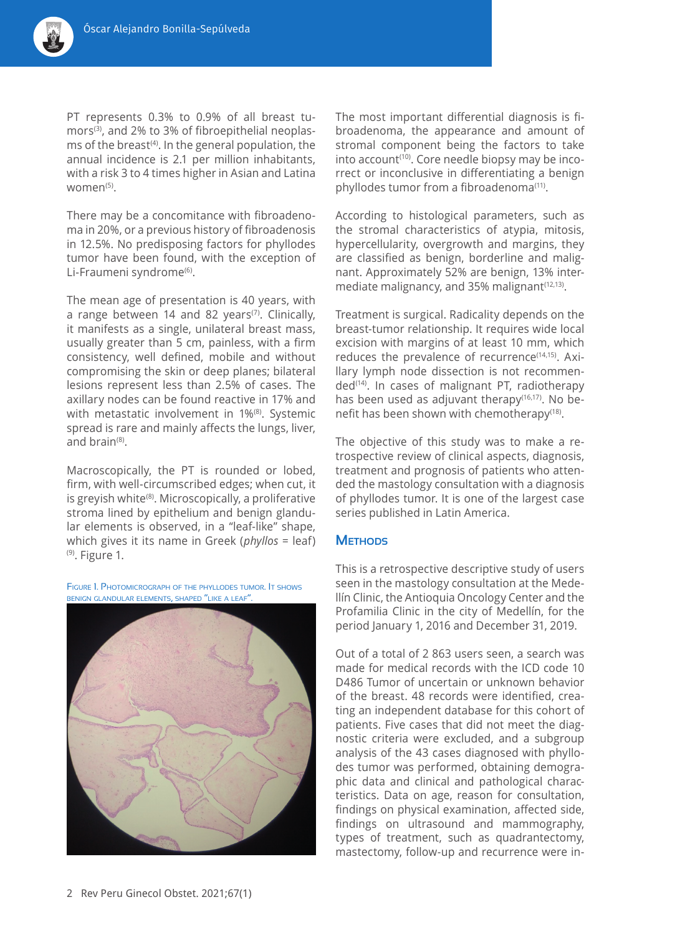

PT represents 0.3% to 0.9% of all breast tumors<sup>(3)</sup>, and 2% to 3% of fibroepithelial neoplasms of the breast $(4)$ . In the general population, the annual incidence is 2.1 per million inhabitants, with a risk 3 to 4 times higher in Asian and Latina women $(5)$ .

There may be a concomitance with fibroadenoma in 20%, or a previous history of fibroadenosis in 12.5%. No predisposing factors for phyllodes tumor have been found, with the exception of Li-Fraumeni syndrome<sup>(6)</sup>.

The mean age of presentation is 40 years, with a range between 14 and 82 years<sup> $(7)$ </sup>. Clinically, it manifests as a single, unilateral breast mass, usually greater than 5 cm, painless, with a firm consistency, well defined, mobile and without compromising the skin or deep planes; bilateral lesions represent less than 2.5% of cases. The axillary nodes can be found reactive in 17% and with metastatic involvement in 1%<sup>(8)</sup>. Systemic spread is rare and mainly affects the lungs, liver, and brain(8).

Macroscopically, the PT is rounded or lobed, firm, with well-circumscribed edges; when cut, it is greyish white<sup>(8)</sup>. Microscopically, a proliferative stroma lined by epithelium and benign glandular elements is observed, in a "leaf-like" shape, which gives it its name in Greek (*phyllos* = leaf)  $(9)$ . Figure 1.

Figure 1. Photomicrograph of the phyllodes tumor. It shows benign glandular elements, shaped "like <sup>a</sup> leaf".



The most important differential diagnosis is fibroadenoma, the appearance and amount of stromal component being the factors to take into account<sup>(10)</sup>. Core needle biopsy may be incorrect or inconclusive in differentiating a benign phyllodes tumor from a fibroadenoma(11).

According to histological parameters, such as the stromal characteristics of atypia, mitosis, hypercellularity, overgrowth and margins, they are classified as benign, borderline and malignant. Approximately 52% are benign, 13% intermediate malignancy, and 35% malignant(12,13).

Treatment is surgical. Radicality depends on the breast-tumor relationship. It requires wide local excision with margins of at least 10 mm, which reduces the prevalence of recurrence<sup>(14,15)</sup>. Axillary lymph node dissection is not recommended<sup>(14)</sup>. In cases of malignant PT, radiotherapy has been used as adjuvant therapy<sup>(16,17)</sup>. No benefit has been shown with chemotherapy(18).

The objective of this study was to make a retrospective review of clinical aspects, diagnosis, treatment and prognosis of patients who attended the mastology consultation with a diagnosis of phyllodes tumor. It is one of the largest case series published in Latin America.

### **Methods**

This is a retrospective descriptive study of users seen in the mastology consultation at the Medellín Clinic, the Antioquia Oncology Center and the Profamilia Clinic in the city of Medellín, for the period January 1, 2016 and December 31, 2019.

Out of a total of 2 863 users seen, a search was made for medical records with the ICD code 10 D486 Tumor of uncertain or unknown behavior of the breast. 48 records were identified, creating an independent database for this cohort of patients. Five cases that did not meet the diagnostic criteria were excluded, and a subgroup analysis of the 43 cases diagnosed with phyllodes tumor was performed, obtaining demographic data and clinical and pathological characteristics. Data on age, reason for consultation, findings on physical examination, affected side, findings on ultrasound and mammography, types of treatment, such as quadrantectomy, mastectomy, follow-up and recurrence were in-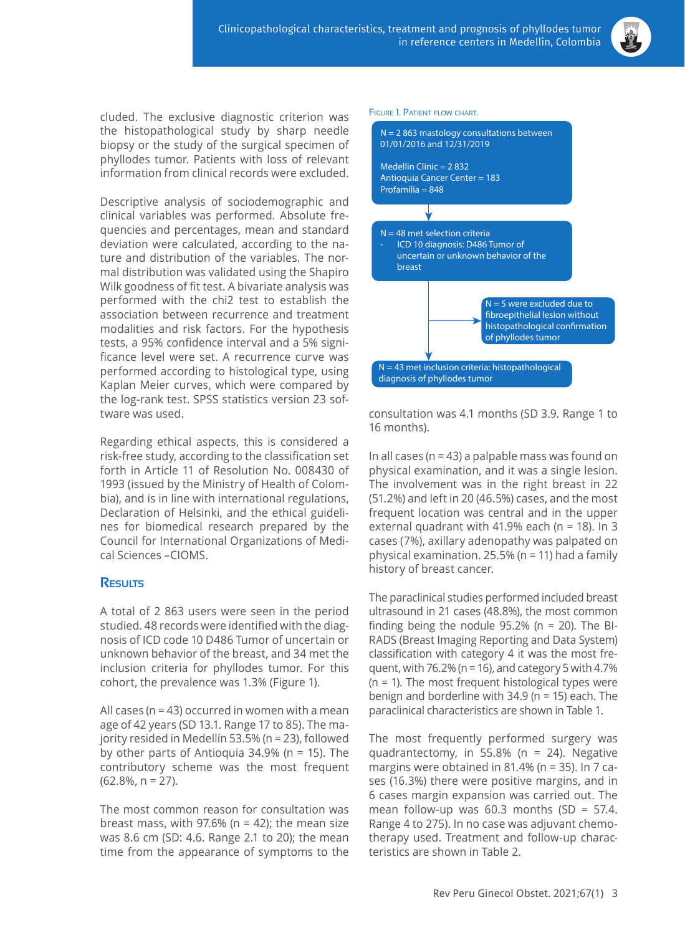

cluded. The exclusive diagnostic criterion was the histopathological study by sharp needle biopsy or the study of the surgical specimen of phyllodes tumor. Patients with loss of relevant information from clinical records were excluded.

Descriptive analysis of sociodemographic and clinical variables was performed. Absolute frequencies and percentages, mean and standard deviation were calculated, according to the nature and distribution of the variables. The normal distribution was validated using the Shapiro Wilk goodness of fit test. A bivariate analysis was performed with the chi2 test to establish the association between recurrence and treatment modalities and risk factors. For the hypothesis tests, a 95% confidence interval and a 5% significance level were set. A recurrence curve was performed according to histological type, using Kaplan Meier curves, which were compared by the log-rank test. SPSS statistics version 23 software was used.

Regarding ethical aspects, this is considered a risk-free study, according to the classification set forth in Article 11 of Resolution No. 008430 of 1993 (issued by the Ministry of Health of Colombia), and is in line with international regulations, Declaration of Helsinki, and the ethical guidelines for biomedical research prepared by the Council for International Organizations of Medical Sciences –CIOMS.

## **Results**

A total of 2 863 users were seen in the period studied. 48 records were identified with the diagnosis of ICD code 10 D486 Tumor of uncertain or unknown behavior of the breast, and 34 met the inclusion criteria for phyllodes tumor. For this cohort, the prevalence was 1.3% (Figure 1).

All cases (n = 43) occurred in women with a mean age of 42 years (SD 13.1. Range 17 to 85). The majority resided in Medellín 53.5% (n = 23), followed by other parts of Antioquia 34.9% (n = 15). The contributory scheme was the most frequent (62.8%, n = 27).

The most common reason for consultation was breast mass, with 97.6% ( $n = 42$ ); the mean size was 8.6 cm (SD: 4.6. Range 2.1 to 20); the mean time from the appearance of symptoms to the



consultation was 4.1 months (SD 3.9. Range 1 to 16 months).

In all cases ( $n = 43$ ) a palpable mass was found on physical examination, and it was a single lesion. The involvement was in the right breast in 22 (51.2%) and left in 20 (46.5%) cases, and the most frequent location was central and in the upper external quadrant with 41.9% each (n = 18). In 3 cases (7%), axillary adenopathy was palpated on physical examination. 25.5% (n = 11) had a family history of breast cancer.

The paraclinical studies performed included breast ultrasound in 21 cases (48.8%), the most common finding being the nodule  $95.2\%$  (n = 20). The BI-RADS (Breast Imaging Reporting and Data System) classification with category 4 it was the most frequent, with 76.2% ( $n = 16$ ), and category 5 with 4.7%  $(n = 1)$ . The most frequent histological types were benign and borderline with 34.9 (n = 15) each. The paraclinical characteristics are shown in Table 1.

The most frequently performed surgery was quadrantectomy, in 55.8% ( $n = 24$ ). Negative margins were obtained in 81.4% (n = 35). In 7 cases (16.3%) there were positive margins, and in 6 cases margin expansion was carried out. The mean follow-up was 60.3 months  $(SD = 57.4)$ . Range 4 to 275). In no case was adjuvant chemotherapy used. Treatment and follow-up characteristics are shown in Table 2.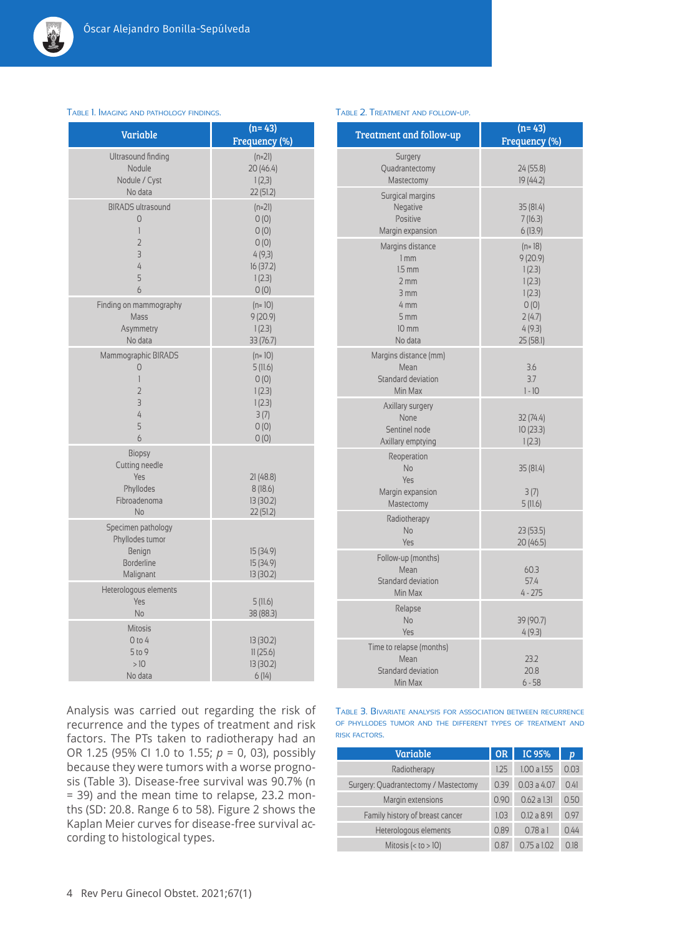

| Variable                                                                              | $(n=43)$<br>Frequency (%)                                                 |
|---------------------------------------------------------------------------------------|---------------------------------------------------------------------------|
| Ultrasound finding<br>Nodule<br>Nodule / Cyst<br>No data                              | $(n=21)$<br>20 (46.4)<br>1(2,3)<br>22 (51.2)                              |
| <b>BIRADS</b> ultrasound<br>0<br>1<br>$\overline{2}$<br>$\overline{3}$<br>4<br>5<br>6 | $(n=21)$<br>0(0)<br>0(0)<br>0(0)<br>4(9,3)<br>16 (37.2)<br>1(2.3)<br>0(0) |
| Finding on mammography<br>Mass<br>Asymmetry<br>No data                                | $(n=10)$<br>9(20.9)<br>1(2.3)<br>33 (76.7)                                |
| Mammographic BIRADS<br>0<br>1<br>$\overline{2}$<br>3<br>4<br>5<br>6                   | $(n=10)$<br>5(11.6)<br>O(0)<br>1(2.3)<br>1(2.3)<br>3(7)<br>0(0)<br>0(0)   |
| <b>Biopsy</b><br>Cutting needle<br>Yes<br>Phyllodes<br>Fibroadenoma<br>No             | 21(48.8)<br>8(18.6)<br>13 (30.2)<br>22 (51.2)                             |
| Specimen pathology<br>Phyllodes tumor<br>Benign<br><b>Borderline</b><br>Malignant     | 15 (34.9)<br>15 (34.9)<br>13 (30.2)                                       |
| Heterologous elements<br>Yes<br>No                                                    | 5(11.6)<br>38 (88.3)                                                      |
| <b>Mitosis</b><br>$0$ to 4<br>$5$ to 9<br>>10<br>No data                              | 13 (30.2)<br>11(25.6)<br>13 (30.2)<br>6(14)                               |

#### Table 1. Imaging and pathology findings.

## Analysis was carried out regarding the risk of recurrence and the types of treatment and risk factors. The PTs taken to radiotherapy had an OR 1.25 (95% CI 1.0 to 1.55; *p* = 0, 03), possibly because they were tumors with a worse prognosis (Table 3). Disease-free survival was 90.7% (n = 39) and the mean time to relapse, 23.2 months (SD: 20.8. Range 6 to 58). Figure 2 shows the Kaplan Meier curves for disease-free survival according to histological types.

#### Table 2. Treatment and follow-up.

| <b>Treatment and follow-up</b>                                                                               | $(n=43)$<br>Frequency (%)                                                                  |  |  |  |
|--------------------------------------------------------------------------------------------------------------|--------------------------------------------------------------------------------------------|--|--|--|
| Surgery<br>Quadrantectomy<br>Mastectomy                                                                      | 24 (55.8)<br>19 (44.2)                                                                     |  |  |  |
| Surgical margins<br>Negative<br>Positive<br>Margin expansion                                                 | 35 (81.4)<br>7(16.3)<br>6(13.9)                                                            |  |  |  |
| Margins distance<br>1 <sub>mm</sub><br>$1.5$ mm<br>2mm<br>3mm<br>4 mm<br>5 <sub>mm</sub><br>10 mm<br>No data | $(n=18)$<br>9(20.9)<br>1(2.3)<br>1(2.3)<br>1(2.3)<br>0(0)<br>2(4.7)<br>4(9.3)<br>25 (58.1) |  |  |  |
| Margins distance (mm)<br>Mean<br>Standard deviation<br>Min Max                                               | 3.6<br>3.7<br>$1 - 10$                                                                     |  |  |  |
| Axillary surgery<br>None<br>Sentinel node<br>Axillary emptying                                               | 32(74.4)<br>10(23.3)<br>1(2.3)                                                             |  |  |  |
| Reoperation<br><b>No</b><br>Yes<br>Margin expansion<br>Mastectomy                                            | 35 (81.4)<br>3(7)<br>5(11.6)                                                               |  |  |  |
| Radiotherapy<br><b>No</b><br>Yes                                                                             | 23(53.5)<br>20 (46.5)                                                                      |  |  |  |
| Follow-up (months)<br>Mean<br>Standard deviation<br>Min Max                                                  | 60.3<br>57.4<br>$4 - 275$                                                                  |  |  |  |
| Relapse<br>No<br>Yes                                                                                         | 39 (90.7)<br>4(9.3)                                                                        |  |  |  |
| Time to relapse (months)<br>Mean<br>Standard deviation<br>Min Max                                            | 23.2<br>20.8<br>$6 - 58$                                                                   |  |  |  |

Table 3. Bivariate analysis for association between recurrence of phyllodes tumor and the different types of treatment and risk factors.

| Variable                             | <b>OR</b> | IC 95%      | $\boldsymbol{D}$ |
|--------------------------------------|-----------|-------------|------------------|
| Radiotherapy                         | 1.25      | 1.00a1.55   | 0.03             |
| Surgery: Quadrantectomy / Mastectomy | 0.39      | 0.03a4.07   | 0.41             |
| Margin extensions                    | 0.90      | 0.62 a 1.31 | 0.50             |
| Family history of breast cancer      | 1.03      | 0.12a8.91   | 0.97             |
| Heterologous elements                | 0.89      | 0.78a1      | 0.44             |
| Mitosis (< to > 10)                  | 0.87      | 0.75a1.02   | 018              |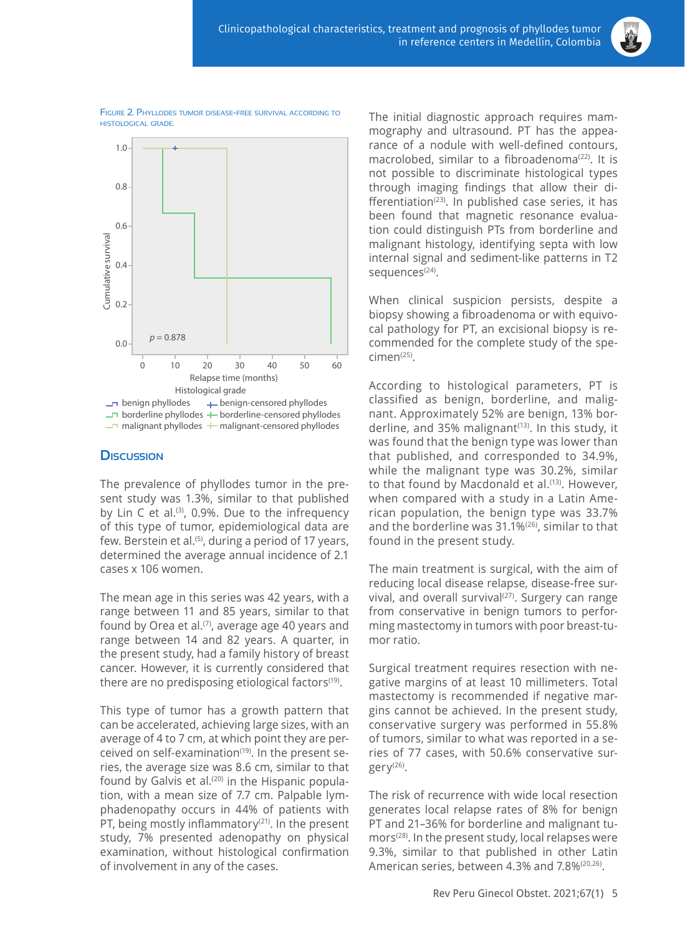

Figure 2. Phyllodes tumor disease-free survival according to histological grade.



## **Discussion**

The prevalence of phyllodes tumor in the present study was 1.3%, similar to that published by Lin  $C$  et al.<sup>(3)</sup>, 0.9%. Due to the infrequency of this type of tumor, epidemiological data are few. Berstein et al.<sup>(5)</sup>, during a period of 17 years, determined the average annual incidence of 2.1 cases x 106 women.

The mean age in this series was 42 years, with a range between 11 and 85 years, similar to that found by Orea et al.<sup> $(7)$ </sup>, average age 40 years and range between 14 and 82 years. A quarter, in the present study, had a family history of breast cancer. However, it is currently considered that there are no predisposing etiological factors<sup>(19)</sup>.

This type of tumor has a growth pattern that can be accelerated, achieving large sizes, with an average of 4 to 7 cm, at which point they are perceived on self-examination<sup>(19)</sup>. In the present series, the average size was 8.6 cm, similar to that found by Galvis et al.<sup>(20)</sup> in the Hispanic population, with a mean size of 7.7 cm. Palpable lymphadenopathy occurs in 44% of patients with PT, being mostly inflammatory<sup>(21)</sup>. In the present study, 7% presented adenopathy on physical examination, without histological confirmation of involvement in any of the cases.

The initial diagnostic approach requires mammography and ultrasound. PT has the appearance of a nodule with well-defined contours, macrolobed, similar to a fibroadenoma<sup>(22)</sup>. It is not possible to discriminate histological types through imaging findings that allow their differentiation<sup> $(23)$ </sup>. In published case series, it has been found that magnetic resonance evaluation could distinguish PTs from borderline and malignant histology, identifying septa with low internal signal and sediment-like patterns in T2 sequences<sup>(24)</sup>.

When clinical suspicion persists, despite a biopsy showing a fibroadenoma or with equivocal pathology for PT, an excisional biopsy is recommended for the complete study of the specimen(25).

According to histological parameters, PT is classified as benign, borderline, and malignant. Approximately 52% are benign, 13% borderline, and 35% malignant $(13)$ . In this study, it was found that the benign type was lower than that published, and corresponded to 34.9%, while the malignant type was 30.2%, similar to that found by Macdonald et al.<sup>(13)</sup>. However, when compared with a study in a Latin American population, the benign type was 33.7% and the borderline was 31.1%(26), similar to that found in the present study.

The main treatment is surgical, with the aim of reducing local disease relapse, disease-free survival, and overall survival $(27)$ . Surgery can range from conservative in benign tumors to performing mastectomy in tumors with poor breast-tumor ratio.

Surgical treatment requires resection with negative margins of at least 10 millimeters. Total mastectomy is recommended if negative margins cannot be achieved. In the present study, conservative surgery was performed in 55.8% of tumors, similar to what was reported in a series of 77 cases, with 50.6% conservative surgery(26).

The risk of recurrence with wide local resection generates local relapse rates of 8% for benign PT and 21–36% for borderline and malignant tumors<sup>(28)</sup>. In the present study, local relapses were 9.3%, similar to that published in other Latin American series, between 4.3% and 7.8%<sup>(20,26)</sup>.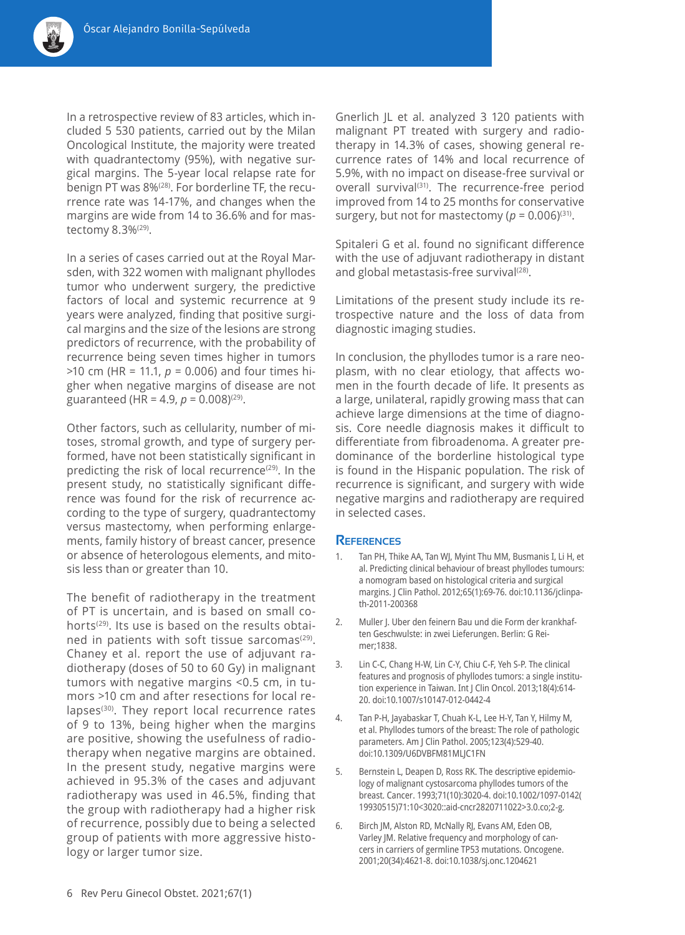

In a retrospective review of 83 articles, which included 5 530 patients, carried out by the Milan Oncological Institute, the majority were treated with quadrantectomy (95%), with negative surgical margins. The 5-year local relapse rate for benign PT was 8%<sup>(28)</sup>. For borderline TF, the recurrence rate was 14-17%, and changes when the margins are wide from 14 to 36.6% and for mastectomy 8.3%(29).

In a series of cases carried out at the Royal Marsden, with 322 women with malignant phyllodes tumor who underwent surgery, the predictive factors of local and systemic recurrence at 9 years were analyzed, finding that positive surgical margins and the size of the lesions are strong predictors of recurrence, with the probability of recurrence being seven times higher in tumors >10 cm (HR = 11.1, *p* = 0.006) and four times higher when negative margins of disease are not guaranteed (HR =  $4.9, p = 0.008(29)$ .

Other factors, such as cellularity, number of mitoses, stromal growth, and type of surgery performed, have not been statistically significant in predicting the risk of local recurrence<sup> $(29)$ </sup>. In the present study, no statistically significant difference was found for the risk of recurrence according to the type of surgery, quadrantectomy versus mastectomy, when performing enlargements, family history of breast cancer, presence or absence of heterologous elements, and mitosis less than or greater than 10.

The benefit of radiotherapy in the treatment of PT is uncertain, and is based on small cohorts(29). Its use is based on the results obtained in patients with soft tissue sarcomas $(29)$ . Chaney et al. report the use of adjuvant radiotherapy (doses of 50 to 60 Gy) in malignant tumors with negative margins <0.5 cm, in tumors >10 cm and after resections for local relapses<sup>(30)</sup>. They report local recurrence rates of 9 to 13%, being higher when the margins are positive, showing the usefulness of radiotherapy when negative margins are obtained. In the present study, negative margins were achieved in 95.3% of the cases and adjuvant radiotherapy was used in 46.5%, finding that the group with radiotherapy had a higher risk of recurrence, possibly due to being a selected group of patients with more aggressive histology or larger tumor size.

Gnerlich JL et al. analyzed 3 120 patients with malignant PT treated with surgery and radiotherapy in 14.3% of cases, showing general recurrence rates of 14% and local recurrence of 5.9%, with no impact on disease-free survival or overall survival<sup>(31)</sup>. The recurrence-free period improved from 14 to 25 months for conservative surgery, but not for mastectomy ( $p = 0.006$ )<sup>(31)</sup>.

Spitaleri G et al. found no significant difference with the use of adjuvant radiotherapy in distant and global metastasis-free survival<sup>(28)</sup>.

Limitations of the present study include its retrospective nature and the loss of data from diagnostic imaging studies.

In conclusion, the phyllodes tumor is a rare neoplasm, with no clear etiology, that affects women in the fourth decade of life. It presents as a large, unilateral, rapidly growing mass that can achieve large dimensions at the time of diagnosis. Core needle diagnosis makes it difficult to differentiate from fibroadenoma. A greater predominance of the borderline histological type is found in the Hispanic population. The risk of recurrence is significant, and surgery with wide negative margins and radiotherapy are required in selected cases.

### **References**

- 1. Tan PH, Thike AA, Tan WJ, Myint Thu MM, Busmanis I, Li H, et al. Predicting clinical behaviour of breast phyllodes tumours: a nomogram based on histological criteria and surgical margins. J Clin Pathol. 2012;65(1):69-76. doi:10.1136/jclinpath-2011-200368
- 2. Muller J. Uber den feinern Bau und die Form der krankhaften Geschwulste: in zwei Lieferungen. Berlin: G Reimer;1838.
- 3. Lin C-C, Chang H-W, Lin C-Y, Chiu C-F, Yeh S-P. The clinical features and prognosis of phyllodes tumors: a single institution experience in Taiwan. Int J Clin Oncol. 2013;18(4):614- 20. doi:10.1007/s10147-012-0442-4
- 4. Tan P-H, Jayabaskar T, Chuah K-L, Lee H-Y, Tan Y, Hilmy M, et al. Phyllodes tumors of the breast: The role of pathologic parameters. Am J Clin Pathol. 2005;123(4):529-40. doi:10.1309/U6DVBFM81MLJC1FN
- 5. Bernstein L, Deapen D, Ross RK. The descriptive epidemiology of malignant cystosarcoma phyllodes tumors of the breast. Cancer. 1993;71(10):3020-4. doi:10.1002/1097-0142( 19930515)71:10<3020::aid-cncr2820711022>3.0.co;2-g.
- 6. Birch JM, Alston RD, McNally RJ, Evans AM, Eden OB, Varley JM. Relative frequency and morphology of cancers in carriers of germline TP53 mutations. Oncogene. 2001;20(34):4621-8. doi:10.1038/sj.onc.1204621